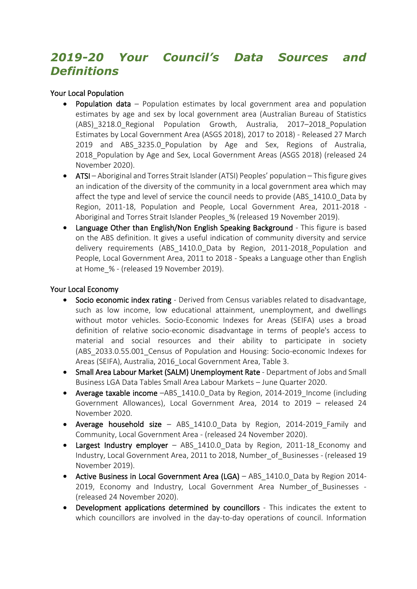# *2019-20 Your Council's Data Sources and Definitions*

### Your Local Population

- **Population data** Population estimates by local government area and population estimates by age and sex by local government area (Australian Bureau of Statistics (ABS) 3218.0 Regional Population Growth, Australia, 2017–2018 Population Estimates by Local Government Area (ASGS 2018), 2017 to 2018) - Released 27 March 2019 and ABS 3235.0 Population by Age and Sex, Regions of Australia, 2018 Population by Age and Sex, Local Government Areas (ASGS 2018) (released 24 November 2020).
- ATSI Aboriginal and Torres Strait Islander (ATSI) Peoples' population This figure gives an indication of the diversity of the community in a local government area which may affect the type and level of service the council needs to provide (ABS\_1410.0\_Data by Region, 2011-18, Population and People, Local Government Area, 2011-2018 - Aboriginal and Torres Strait Islander Peoples\_% (released 19 November 2019).
- Language Other than English/Non English Speaking Background This figure is based on the ABS definition. It gives a useful indication of community diversity and service delivery requirements (ABS 1410.0 Data by Region, 2011-2018 Population and People, Local Government Area, 2011 to 2018 - Speaks a Language other than English at Home\_% - (released 19 November 2019).

#### Your Local Economy

- Socio economic index rating Derived from Census variables related to disadvantage, such as low income, low educational attainment, unemployment, and dwellings without motor vehicles. Socio-Economic Indexes for Areas (SEIFA) uses a broad definition of relative socio-economic disadvantage in terms of people's access to material and social resources and their ability to participate in society (ABS\_2033.0.55.001\_Census of Population and Housing: Socio-economic Indexes for Areas (SEIFA), Australia, 2016\_Local Government Area, Table 3.
- Small Area Labour Market (SALM) Unemployment Rate Department of Jobs and Small Business LGA Data Tables Small Area Labour Markets – June Quarter 2020.
- Average taxable income -ABS 1410.0 Data by Region, 2014-2019 Income (including Government Allowances), Local Government Area, 2014 to 2019 – released 24 November 2020.
- Average household size ABS 1410.0 Data by Region, 2014-2019 Family and Community, Local Government Area - (released 24 November 2020).
- Largest Industry employer ABS 1410.0 Data by Region, 2011-18 Economy and Industry, Local Government Area, 2011 to 2018, Number\_of\_Businesses - (released 19 November 2019).
- Active Business in Local Government Area (LGA) ABS 1410.0 Data by Region 2014-2019, Economy and Industry, Local Government Area Number of Businesses -(released 24 November 2020).
- Development applications determined by councillors This indicates the extent to which councillors are involved in the day-to-day operations of council. Information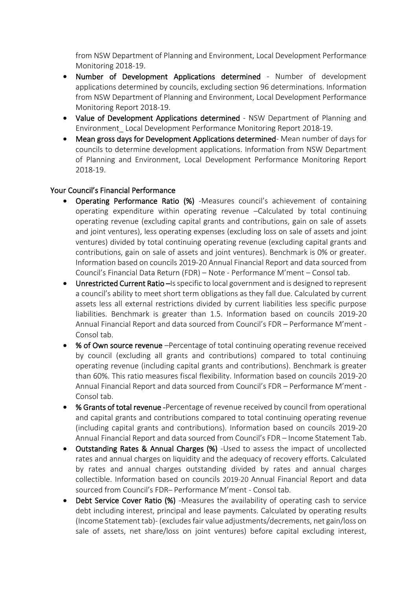from NSW Department of Planning and Environment, Local Development Performance Monitoring 2018-19.

- Number of Development Applications determined Number of development applications determined by councils, excluding section 96 determinations. Information from NSW Department of Planning and Environment, Local Development Performance Monitoring Report 2018-19.
- Value of Development Applications determined NSW Department of Planning and Environment\_ Local Development Performance Monitoring Report 2018-19.
- Mean gross days for Development Applications determined- Mean number of days for councils to determine development applications. Information from NSW Department of Planning and Environment, Local Development Performance Monitoring Report 2018-19.

### Your Council's Financial Performance

- Operating Performance Ratio (%) -Measures council's achievement of containing operating expenditure within operating revenue –Calculated by total continuing operating revenue (excluding capital grants and contributions, gain on sale of assets and joint ventures), less operating expenses (excluding loss on sale of assets and joint ventures) divided by total continuing operating revenue (excluding capital grants and contributions, gain on sale of assets and joint ventures). Benchmark is 0% or greater. Information based on councils 2019-20 Annual Financial Report and data sourced from Council's Financial Data Return (FDR) – Note - Performance M'ment – Consol tab.
- Unrestricted Current Ratio Is specific to local government and is designed to represent a council's ability to meet short term obligations as they fall due. Calculated by current assets less all external restrictions divided by current liabilities less specific purpose liabilities. Benchmark is greater than 1.5. Information based on councils 2019-20 Annual Financial Report and data sourced from Council's FDR – Performance M'ment - Consol tab.
- % of Own source revenue Percentage of total continuing operating revenue received by council (excluding all grants and contributions) compared to total continuing operating revenue (including capital grants and contributions). Benchmark is greater than 60%. This ratio measures fiscal flexibility. Information based on councils 2019-20 Annual Financial Report and data sourced from Council's FDR – Performance M'ment - Consol tab.
- % Grants of total revenue -Percentage of revenue received by council from operational and capital grants and contributions compared to total continuing operating revenue (including capital grants and contributions). Information based on councils 2019-20 Annual Financial Report and data sourced from Council's FDR – Income Statement Tab.
- Outstanding Rates & Annual Charges (%) -Used to assess the impact of uncollected rates and annual charges on liquidity and the adequacy of recovery efforts. Calculated by rates and annual charges outstanding divided by rates and annual charges collectible. Information based on councils 2019-20 Annual Financial Report and data sourced from Council's FDR– Performance M'ment - Consol tab.
- Debt Service Cover Ratio (%) -Measures the availability of operating cash to service debt including interest, principal and lease payments. Calculated by operating results (Income Statement tab)- (excludes fair value adjustments/decrements, net gain/loss on sale of assets, net share/loss on joint ventures) before capital excluding interest,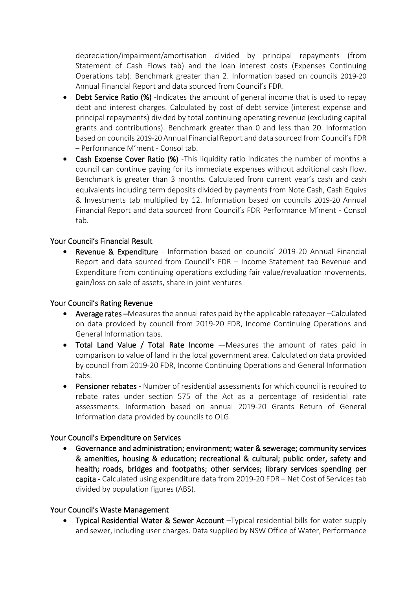depreciation/impairment/amortisation divided by principal repayments (from Statement of Cash Flows tab) and the loan interest costs (Expenses Continuing Operations tab). Benchmark greater than 2. Information based on councils 2019-20 Annual Financial Report and data sourced from Council's FDR.

- Debt Service Ratio (%) -Indicates the amount of general income that is used to repay debt and interest charges. Calculated by cost of debt service (interest expense and principal repayments) divided by total continuing operating revenue (excluding capital grants and contributions). Benchmark greater than 0 and less than 20. Information based on councils 2019-20 Annual Financial Report and data sourced from Council's FDR – Performance M'ment - Consol tab.
- Cash Expense Cover Ratio (%) This liquidity ratio indicates the number of months a council can continue paying for its immediate expenses without additional cash flow. Benchmark is greater than 3 months. Calculated from current year's cash and cash equivalents including term deposits divided by payments from Note Cash, Cash Equivs & Investments tab multiplied by 12. Information based on councils 2019-20 Annual Financial Report and data sourced from Council's FDR Performance M'ment - Consol tab.

### Your Council's Financial Result

• Revenue & Expenditure - Information based on councils' 2019-20 Annual Financial Report and data sourced from Council's FDR – Income Statement tab Revenue and Expenditure from continuing operations excluding fair value/revaluation movements, gain/loss on sale of assets, share in joint ventures

### Your Council's Rating Revenue

- Average rates –Measures the annual rates paid by the applicable ratepayer –Calculated on data provided by council from 2019-20 FDR, Income Continuing Operations and General Information tabs.
- Total Land Value / Total Rate Income —Measures the amount of rates paid in comparison to value of land in the local government area. Calculated on data provided by council from 2019-20 FDR, Income Continuing Operations and General Information tabs.
- Pensioner rebates Number of residential assessments for which council is required to rebate rates under section 575 of the Act as a percentage of residential rate assessments. Information based on annual 2019-20 Grants Return of General Information data provided by councils to OLG.

### Your Council's Expenditure on Services

• Governance and administration; environment; water & sewerage; community services & amenities, housing & education; recreational & cultural; public order, safety and health; roads, bridges and footpaths; other services; library services spending per capita - Calculated using expenditure data from 2019-20 FDR – Net Cost of Services tab divided by population figures (ABS).

### Your Council's Waste Management

• Typical Residential Water & Sewer Account –Typical residential bills for water supply and sewer, including user charges. Data supplied by NSW Office of Water, Performance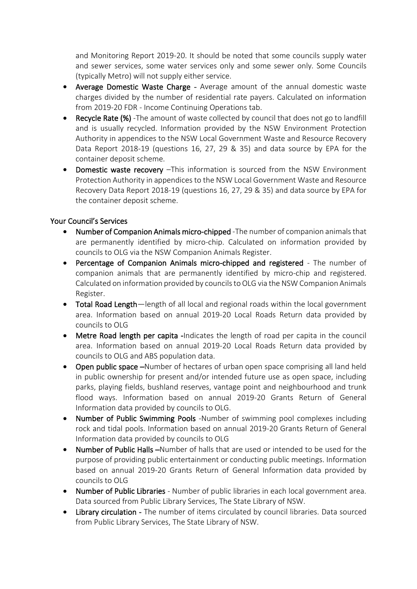and Monitoring Report 2019-20. It should be noted that some councils supply water and sewer services, some water services only and some sewer only. Some Councils (typically Metro) will not supply either service.

- Average Domestic Waste Charge Average amount of the annual domestic waste charges divided by the number of residential rate payers. Calculated on information from 2019-20 FDR - Income Continuing Operations tab.
- Recycle Rate (%) -The amount of waste collected by council that does not go to landfill and is usually recycled. Information provided by the NSW Environment Protection Authority in appendices to the NSW Local Government Waste and Resource Recovery Data Report 2018-19 (questions 16, 27, 29 & 35) and data source by EPA for the container deposit scheme.
- Domestic waste recovery –This information is sourced from the NSW Environment Protection Authority in appendices to the NSW Local Government Waste and Resource Recovery Data Report 2018-19 (questions 16, 27, 29 & 35) and data source by EPA for the container deposit scheme.

## Your Council's Services

- Number of Companion Animals micro-chipped -The number of companion animals that are permanently identified by micro-chip. Calculated on information provided by councils to OLG via the NSW Companion Animals Register.
- Percentage of Companion Animals micro-chipped and registered The number of companion animals that are permanently identified by micro-chip and registered. Calculated on information provided by councils to OLG via the NSW Companion Animals Register.
- Total Road Length—length of all local and regional roads within the local government area. Information based on annual 2019-20 Local Roads Return data provided by councils to OLG
- Metre Road length per capita -Indicates the length of road per capita in the council area. Information based on annual 2019-20 Local Roads Return data provided by councils to OLG and ABS population data.
- Open public space –Number of hectares of urban open space comprising all land held in public ownership for present and/or intended future use as open space, including parks, playing fields, bushland reserves, vantage point and neighbourhood and trunk flood ways. Information based on annual 2019-20 Grants Return of General Information data provided by councils to OLG.
- Number of Public Swimming Pools -Number of swimming pool complexes including rock and tidal pools. Information based on annual 2019-20 Grants Return of General Information data provided by councils to OLG
- Number of Public Halls –Number of halls that are used or intended to be used for the purpose of providing public entertainment or conducting public meetings. Information based on annual 2019-20 Grants Return of General Information data provided by councils to OLG
- Number of Public Libraries Number of public libraries in each local government area. Data sourced from Public Library Services, The State Library of NSW.
- Library circulation The number of items circulated by council libraries. Data sourced from Public Library Services, The State Library of NSW.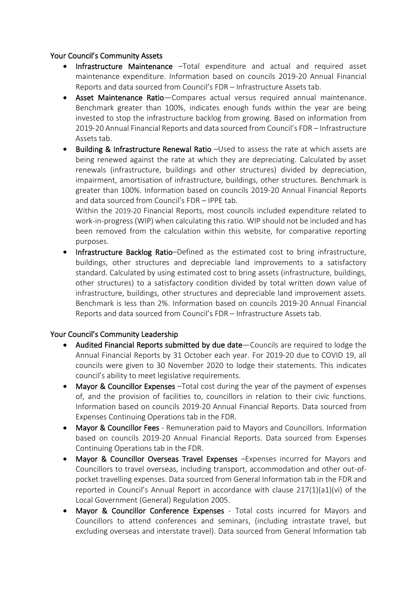### Your Council's Community Assets

- Infrastructure Maintenance –Total expenditure and actual and required asset maintenance expenditure. Information based on councils 2019-20 Annual Financial Reports and data sourced from Council's FDR – Infrastructure Assets tab.
- Asset Maintenance Ratio—Compares actual versus required annual maintenance. Benchmark greater than 100%, indicates enough funds within the year are being invested to stop the infrastructure backlog from growing. Based on information from 2019-20 Annual Financial Reports and data sourced from Council's FDR – Infrastructure Assets tab.
- Building & Infrastructure Renewal Ratio –Used to assess the rate at which assets are being renewed against the rate at which they are depreciating. Calculated by asset renewals (infrastructure, buildings and other structures) divided by depreciation, impairment, amortisation of infrastructure, buildings, other structures. Benchmark is greater than 100%. Information based on councils 2019-20 Annual Financial Reports and data sourced from Council's FDR – IPPE tab.

Within the 2019-20 Financial Reports, most councils included expenditure related to work-in-progress (WIP) when calculating this ratio. WIP should not be included and has been removed from the calculation within this website, for comparative reporting purposes.

• Infrastructure Backlog Ratio–Defined as the estimated cost to bring infrastructure, buildings, other structures and depreciable land improvements to a satisfactory standard. Calculated by using estimated cost to bring assets (infrastructure, buildings, other structures) to a satisfactory condition divided by total written down value of infrastructure, buildings, other structures and depreciable land improvement assets. Benchmark is less than 2%. Information based on councils 2019-20 Annual Financial Reports and data sourced from Council's FDR – Infrastructure Assets tab.

## Your Council's Community Leadership

- Audited Financial Reports submitted by due date—Councils are required to lodge the Annual Financial Reports by 31 October each year. For 2019-20 due to COVID 19, all councils were given to 30 November 2020 to lodge their statements. This indicates council's ability to meet legislative requirements.
- Mayor & Councillor Expenses –Total cost during the year of the payment of expenses of, and the provision of facilities to, councillors in relation to their civic functions. Information based on councils 2019-20 Annual Financial Reports. Data sourced from Expenses Continuing Operations tab in the FDR.
- Mayor & Councillor Fees Remuneration paid to Mayors and Councillors. Information based on councils 2019-20 Annual Financial Reports. Data sourced from Expenses Continuing Operations tab in the FDR.
- Mayor & Councillor Overseas Travel Expenses –Expenses incurred for Mayors and Councillors to travel overseas, including transport, accommodation and other out-ofpocket travelling expenses. Data sourced from General Information tab in the FDR and reported in Council's Annual Report in accordance with clause 217(1)(a1)(vi) of the Local Government (General) Regulation 2005.
- Mayor & Councillor Conference Expenses Total costs incurred for Mayors and Councillors to attend conferences and seminars, (including intrastate travel, but excluding overseas and interstate travel). Data sourced from General Information tab